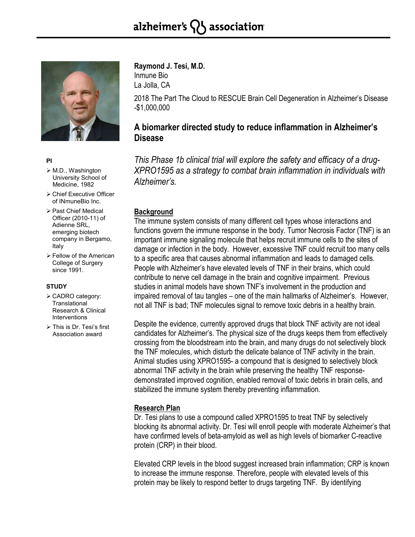# alzheimer's  $\{ \}$  association



#### **PI**

- M.D., Washington University School of Medicine, 1982
- Chief Executive Officer of INmuneBio Inc.
- Past Chief Medical Officer (2010-11) of Adienne SRL, emerging biotech company in Bergamo, Italy
- Fellow of the American College of Surgery since 1991.

### **STUDY**

- CADRO category: **Translational** Research & Clinical Interventions
- This is Dr. Tesi's first Association award

**Raymond J. Tesi, M.D.** Inmune Bio

La Jolla, CA

2018 The Part The Cloud to RESCUE Brain Cell Degeneration in Alzheimer's Disease -\$1,000,000

# **A biomarker directed study to reduce inflammation in Alzheimer's Disease**

*This Phase 1b clinical trial will explore the safety and efficacy of a drug-XPRO1595 as a strategy to combat brain inflammation in individuals with Alzheimer's.*

## **Background**

The immune system consists of many different cell types whose interactions and functions govern the immune response in the body. Tumor Necrosis Factor (TNF) is an important immune signaling molecule that helps recruit immune cells to the sites of damage or infection in the body. However, excessive TNF could recruit too many cells to a specific area that causes abnormal inflammation and leads to damaged cells. People with Alzheimer's have elevated levels of TNF in their brains, which could contribute to nerve cell damage in the brain and cognitive impairment. Previous studies in animal models have shown TNF's involvement in the production and impaired removal of tau tangles – one of the main hallmarks of Alzheimer's. However, not all TNF is bad; TNF molecules signal to remove toxic debris in a healthy brain.

Despite the evidence, currently approved drugs that block TNF activity are not ideal candidates for Alzheimer's. The physical size of the drugs keeps them from effectively crossing from the bloodstream into the brain, and many drugs do not selectively block the TNF molecules, which disturb the delicate balance of TNF activity in the brain. Animal studies using XPRO1595- a compound that is designed to selectively block abnormal TNF activity in the brain while preserving the healthy TNF responsedemonstrated improved cognition, enabled removal of toxic debris in brain cells, and stabilized the immune system thereby preventing inflammation.

# **Research Plan**

Dr. Tesi plans to use a compound called XPRO1595 to treat TNF by selectively blocking its abnormal activity. Dr. Tesi will enroll people with moderate Alzheimer's that have confirmed levels of beta-amyloid as well as high levels of biomarker C-reactive protein (CRP) in their blood.

Elevated CRP levels in the blood suggest increased brain inflammation; CRP is known to increase the immune response. Therefore, people with elevated levels of this protein may be likely to respond better to drugs targeting TNF. By identifying